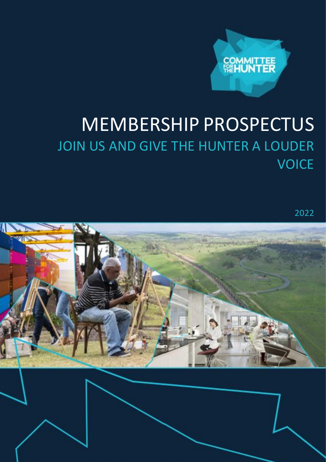

# MEMBERSHIP PROSPECTUS JOIN US AND GIVE THE HUNTER A LOUDER **VOICE**

2022

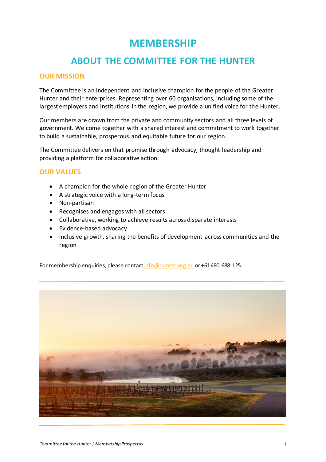## **MEMBERSHIP**

### **ABOUT THE COMMITTEE FOR THE HUNTER**

#### **OUR MISSION**

The Committee is an independent and inclusive champion for the people of the Greater Hunter and their enterprises. Representing over 60 organisations, including some of the largest employers and institutions in the region, we provide a unified voice for the Hunter.

Our members are drawn from the private and community sectors and all three levels of government. We come together with a shared interest and commitment to work together to build a sustainable, prosperous and equitable future for our region.

The Committee delivers on that promise through advocacy, thought leadership and providing a platform for collaborative action.

#### **OUR VALUES**

- A champion for the whole region of the Greater Hunter
- A strategic voice with a long-term focus
- Non-partisan
- Recognises and engages with all sectors
- Collaborative, working to achieve results across disparate interests
- Evidence-based advocacy
- Inclusive growth, sharing the benefits of development across communities and the region

For membership enquiries, please contact info@hunter.org.au or +61 490 688 125.

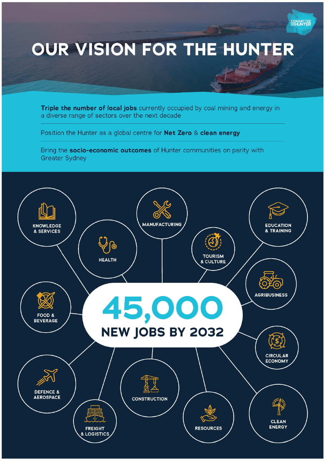

Triple the number of local jobs currently occupied by coal mining and energy in a diverse range of sectors over the next decade

Position the Hunter as a global centre for Net Zero & clean energy

Bring the socio-economic outcomes of Hunter communities on parity with **Greater Sydney** 

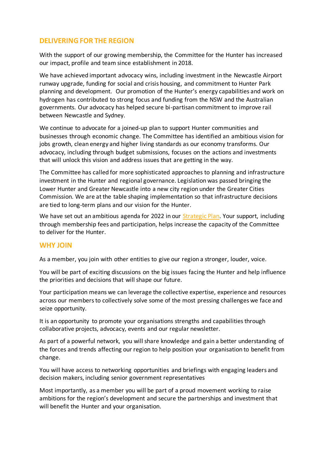#### **DELIVERING FOR THE REGION**

With the support of our growing membership, the Committee for the Hunter has increased our impact, profile and team since establishment in 2018.

We have achieved important advocacy wins, including investment in the Newcastle Airport runway upgrade, funding for social and crisis housing, and commitment to Hunter Park planning and development. Our promotion of the Hunter's energy capabilities and work on hydrogen has contributed to strong focus and funding from the NSW and the Australian governments. Our advocacy has helped secure bi-partisan commitment to improve rail between Newcastle and Sydney.

We continue to advocate for a joined-up plan to support Hunter communities and businesses through economic change. The Committee has identified an ambitious vision for jobs growth, clean energy and higher living standards as our economy transforms. Our advocacy, including through budget submissions, focuses on the actions and investments that will unlock this vision and address issues that are getting in the way.

The Committee has called for more sophisticated approaches to planning and infrastructure investment in the Hunter and regional governance. Legislation was passed bringing the Lower Hunter and Greater Newcastle into a new city region under the Greater Cities Commission. We are at the table shaping implementation so that infrastructure decisions are tied to long-term plans and our vision for the Hunter.

We have set out an ambitious agenda for 2022 in our Strategic Plan. Your support, including through membership fees and participation, helps increase the capacity of the Committee to deliver for the Hunter.

#### **WHY JOIN**

As a member, you join with other entities to give our region a stronger, louder, voice.

You will be part of exciting discussions on the big issues facing the Hunter and help influence the priorities and decisions that will shape our future.

Your participation means we can leverage the collective expertise, experience and resources across our members to collectively solve some of the most pressing challenges we face and seize opportunity.

It is an opportunity to promote your organisations strengths and capabilities through collaborative projects, advocacy, events and our regular newsletter.

As part of a powerful network, you will share knowledge and gain a better understanding of the forces and trends affecting our region to help position your organisation to benefit from change.

You will have access to networking opportunities and briefings with engaging leaders and decision makers, including senior government representatives

Most importantly, as a member you will be part of a proud movement working to raise ambitions for the region's development and secure the partnerships and investment that will benefit the Hunter and your organisation.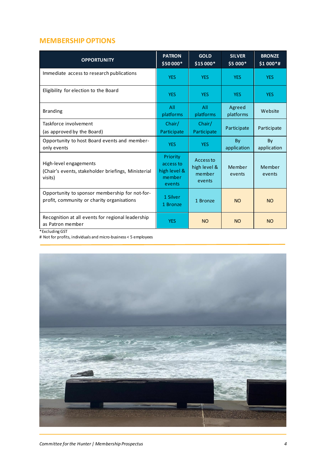#### **MEMBERSHIP OPTIONS**

| <b>OPPORTUNITY</b>                                                                           | <b>PATRON</b><br>\$50 000*                                | <b>GOLD</b><br>\$15 000*                      | <b>SILVER</b><br>$$5000*$ | <b>BRONZE</b><br>$$1000*#$ |
|----------------------------------------------------------------------------------------------|-----------------------------------------------------------|-----------------------------------------------|---------------------------|----------------------------|
| Immediate access to research publications                                                    | <b>YES</b>                                                | <b>YES</b>                                    | <b>YES</b>                | <b>YES</b>                 |
| Eligibility for election to the Board                                                        | <b>YES</b>                                                | <b>YES</b>                                    | <b>YES</b>                | <b>YES</b>                 |
| <b>Branding</b>                                                                              | All<br>platforms                                          | All<br>platforms                              | Agreed<br>platforms       | Website                    |
| Taskforce involvement<br>(as approved by the Board)                                          | Chair/<br>Participate                                     | Chair/<br>Participate                         | Participate               | Participate                |
| Opportunity to host Board events and member-<br>only events                                  | <b>YES</b>                                                | <b>YES</b>                                    | By<br>application         | By<br>application          |
| High-level engagements<br>(Chair's events, stakeholder briefings, Ministerial<br>visits)     | Priority<br>access to<br>high level &<br>member<br>events | Access to<br>high level &<br>member<br>events | Member<br>events          | Member<br>events           |
| Opportunity to sponsor membership for not-for-<br>profit, community or charity organisations | 1 Silver<br>1 Bronze                                      | 1 Bronze                                      | <b>NO</b>                 | <b>NO</b>                  |
| Recognition at all events for regional leadership<br>as Patron member<br>*Excluding GST      | <b>YES</b>                                                | <b>NO</b>                                     | <b>NO</b>                 | <b>NO</b>                  |

# Not for profits, individuals and micro-business < 5 employees